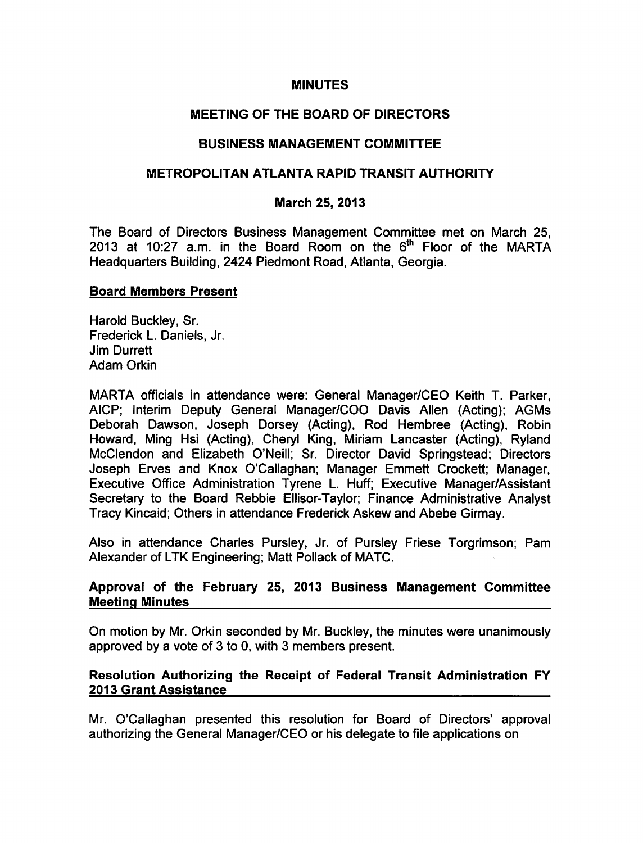#### MINUTES

## MEETING OF THE BOARD OF DIRECTORS

## BUSINESS MANAGEMENT COMMITTEE

## METROPOLITAN ATLANTA RAPID TRANSIT AUTHORITY

## March 25, 2013

The Board of Directors Business Management Committee met on March 25, 2013 at 10:27 a.m. in the Board Room on the  $6<sup>th</sup>$  Floor of the MARTA Headquarters Building, 2424 Piedmont Road, Atlanta, Georgia.

#### Board Members Present

Harold Buckley, Sr. Frederick L. Daniels, Jr. Jim Durrett Adam Orkin

MARTA officials in attendance were: General Manager/CEO Keith T. Parker, AICP; Interim Deputy General Manager/COO Davis Allen (Acting); AGMs Deborah Dawson, Joseph Dorsey (Acting), Rod Hembree (Acting), Robin Howard, Ming Hsi (Acting), Cheryl King, Miriam Lancaster (Acting), Ryland McClendon and Elizabeth O'Neill; Sr. Director David Springstead; Directors Joseph Erves and Knox O'Callaghan; Manager Emmett Crockett; Manager, Executive Office Administration Tyrene L. Huff; Executive Manager/Assistant Secretary to the Board Rebbie Ellisor-Taylor; Finance Administrative Analyst Tracy Kincaid; Others in attendance Frederick Askew and Abebe Girmay.

Also in attendance Charles Pursley, Jr. of Pursley Friese Torgrimson; Pam Alexander of LTK Engineering; Matt Pollack of MATC.

## Approval of the February 25, 2013 Business Management Committee Meeting Minutes

On motion by Mr. Orkin seconded by Mr. Buckley, the minutes were unanimously approved by a vote of  $3$  to 0, with  $3$  members present.

## Resolution Authorizing the Receipt of Federal Transit Administration FY 2013 Grant Assistance

Mr. O'Callaghan presented this resolution for Board of Directors' approval authorizing the General Manager/CEO or his delegate to file applications on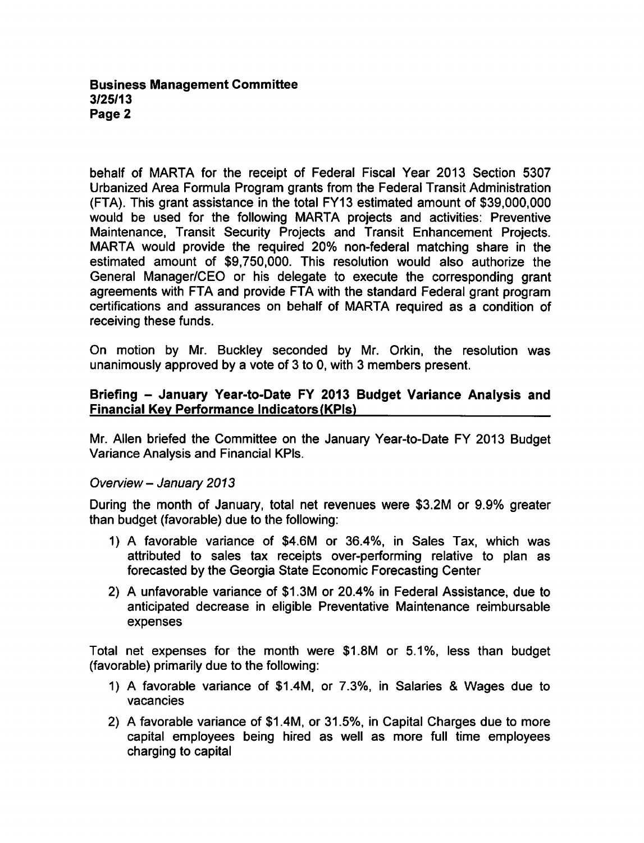#### Business Management Committee 3/25/13 Page 2

behalf of MARTA for the receipt of Federal Fiscal Year 2013 Section 5307 Urbanized Area Formula Program grants from the Federal Transit Administration (FTA). This grant assistance in the total FY13 estimated amount of \$39,000,000 would be used for the following MARTA projects and activities: Preventive Maintenance, Transit Security Projects and Transit Enhancement Projects. MARTA would provide the required 20% non-federal matching share in the estimated amount of \$9,750,000. This resolution would also authorize the General Manager/CEO or his delegate to execute the corresponding grant agreements with FTA and provide FTA with the standard Federal grant program certifications and assurances on behalf of MARTA required as condition of receiving these funds.

On motion by Mr. Buckley seconded by Mr. Orkin, the resolution was unanimously approved by a vote of 3 to 0, with 3 members present.

## Briefing - January Year-to-Date FY 2013 Budget Variance Analysis and Financial Key Performance Indicators(KPIs)

Mr. Allen briefed the Committee on the January Year-to-Date FY 2013 Budget Variance Analysis and Financial KPIs.

## Overview - January 2013

During the month of January, total net revenues were \$3.2M or 9.9% greater than budget (favorable) due to the following:

- 1) A favorable variance of \$4.6M or 36.4%, in Sales Tax, which was attributed to sales tax receipts over-performing relative to plan as forecasted by the Georgia State Economic Forecasting Center
- 2) A unfavorable variance of \$1.3M or 20.4% in Federal Assistance, due to anticipated decrease in eligible Preventative Maintenance reimbursable expenses

Total net expenses for the month were \$1.8M or 5.1%, less than budget (favorable) primarily due to the following:

- 1) A favorable variance of \$1.4M, or 7.3%, in Salaries & Wages due to vacancies
- 2) A favorable variance of  $$1.4M$ , or 31.5%, in Capital Charges due to more capital employees being hired as well as more full time employees charging to capital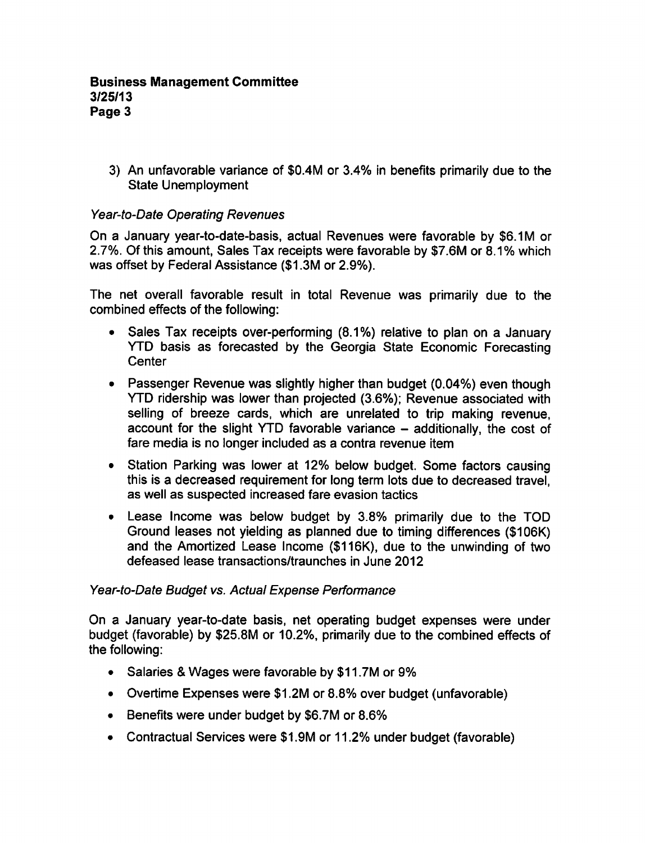3) An unfavorable variance of \$0.4M or 3.4% in benefits primarily due to the State Unemployment

# Year-to-Date Operating Revenues

On a January year-to-date-basis, actual Revenues were favorable by \$6.1M or 2.7%. Of this amount, Sales Tax receipts were favorable by \$7.6M or 8.1% which was offset by Federal Assistance (\$1.3M or 2.9%).

The net overall favorable result in total Revenue was primarily due to the combined effects of the following:

- Sales Tax receipts over-performing (8.1%) relative to plan on a January YTD basis as forecasted by the Georgia State Economic Forecasting **Center**
- Passenger Revenue was slightly higher than budget (0.04%) even though YTD ridership was lower than projected (3.6%); Revenue associated with selling of breeze cards, which are unrelated to trip making revenue, account for the slight YTD favorable variance  $-$  additionally, the cost of fare media is no longer included as a contra revenue item
- Station Parking was lower at 12% below budget. Some factors causing this is decreased requirement for long term lots due to decreased travel, as well as suspected increased fare evasion tactics
- Lease Income was below budget by 3.8% primarily due to the TOD Ground leases not yielding as planned due to timing differences (\$106K) and the Amortized Lease Income (\$116K), due to the unwinding of two defeased lease transactions/traunches in June 2012

#### Year-to-Date Budget vs. Actual Expense Performance

On a January year-to-date basis, net operating budget expenses were under budget (favorable) by \$25.8M or 10.2%, primarily due to the combined effects of the following:

- Salaries & Wages were favorable by \$11.7M or 9%
- Overtime Expenses were \$1.2M or 8.8% over budget (unfavorable)
- Benefits were under budget by \$6.7M or 8.6%
- Contractual Services were \$1.9M or 11.2% under budget (favorable)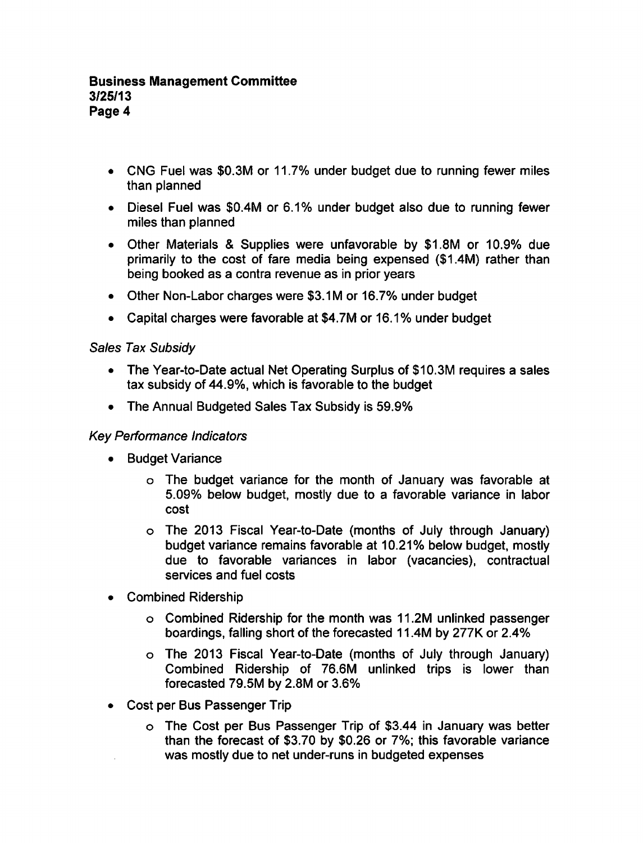## Business Management Committee 3/25/13 Page 4

- CNG Fuel was \$0.3M or 11.7% under budget due to running fewer miles than planned
- Diesel Fuel was \$0.4M or 6.1% under budget also due to running fewer miles than planned
- Other Materials & Supplies were unfavorable by \$1.8M or 10.9% due primarily to the cost of fare media being expensed (\$1.4M) rather than being booked as a contra revenue as in prior years
- Other Non-Labor charges were \$3.1M or 16.7% under budget
- Capital charges were favorable at \$4.7M or 16.1% under budget

## Sales Tax Subsidy

- The Year-to-Date actual Net Operating Surplus of \$10.3M requires a sales tax subsidy of 44.9%, which is favorable to the budget
- The Annual Budgeted Sales Tax Subsidy is 59.9%  $\bullet$

## Key Performance Indicators

- Budget Variance  $\bullet$ 
	- The budget variance for the month of January was favorable at 5.09% below budget, mostly due to a favorable variance in labor cost
	- The 2013 Fiscal Year-to-Date (months of July through January) budget variance remains favorable at 10.21% below budget, mostly due to favorable variances in labor (vacancies), contractual services and fuel costs
- Combined Ridership
	- Combined Ridership for the month was 11.2M unlinked passenger boardings, falling short of the forecasted 11.4M by 277K or 2.4%
	- The 2013 Fiscal Year-to-Date (months of July through January) Combined Ridership of 76.6M unlinked trips is lower than forecasted 79.5M by 2.8M or 3.6%
- Cost per Bus Passenger Trip  $\bullet$ 
	- The Cost per Bus Passenger Trip of \$3.44 in January was better than the forecast of \$3.70 by \$0.26 or 7%; this favorable variance was mostly due to net under-runs in budgeted expenses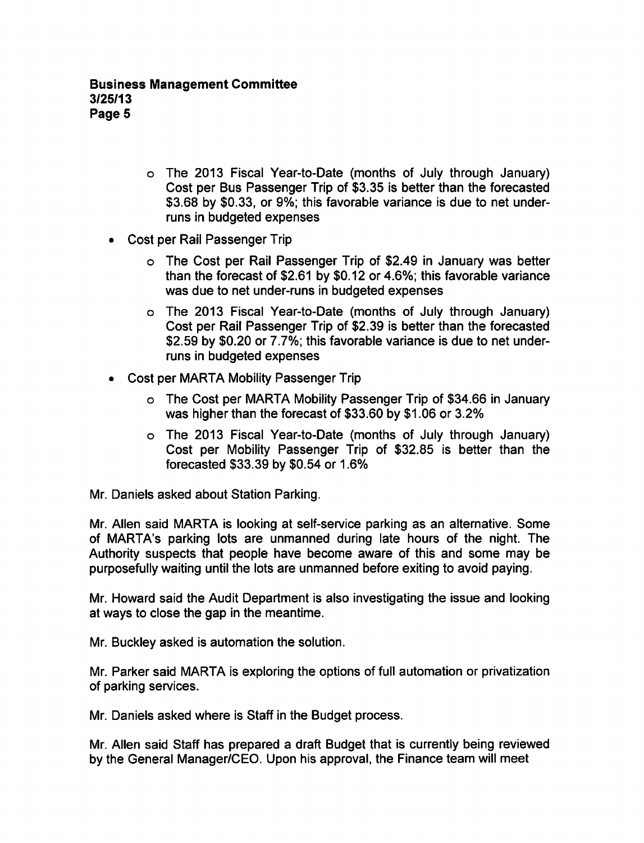- The 2013 Fiscal Year-to-Date (months of July through January) Cost per Bus Passenger Trip of \$3.35 is better than the forecasted \$3.68 by \$0.33, or 9%; this favorable variance is due to net underruns in budgeted expenses
- Cost per Rail Passenger Trip
	- The Cost per Rail Passenger Trip of \$2.49 in January was better than the forecast of \$2.61 by \$0.12 or 4.6%; this favorable variance was due to net under-runs in budgeted expenses
	- The 2013 Fiscal Year-to-Date (months of July through January) Cost per Rail Passenger Trip of \$2.39 is better than the forecasted \$2.59 by \$0.20 or 7.7%; this favorable variance is due to net underruns in budgeted expenses
- Cost per MARTA Mobility Passenger Trip
	- The Cost per MARTA Mobility Passenger Trip of \$34.66 in January was higher than the forecast of \$33.60 by \$1.06 or 3.2%
	- The 2013 Fiscal Year-to-Date (months of July through January) Cost per Mobility Passenger Trip of \$32.85 is better than the forecasted \$33.39 by \$0.54 or 1.6%

Mr. Daniels asked about Station Parking.

Mr. Allen said MARTA is looking at self-service parking as an alternative. Some of MARTA's parking lots are unmanned during late hours of the night. The Authority suspects that people have become aware of this and some may be purposefully waiting until the lots are unmanned before exiting to avoid paying.

Mr. Howard said the Audit Department is also investigating the issue and looking at ways to close the gap in the meantime.

Mr. Buckley asked is automation the solution.

Mr. Parker said MARTA is exploring the options of full automation or privatization of parking services.

Mr. Daniels asked where is Staff in the Budget process.

Mr. Allen said Staff has prepared a draft Budget that is currently being reviewed by the General Manager/CEO. Upon his approval, the Finance team will meet